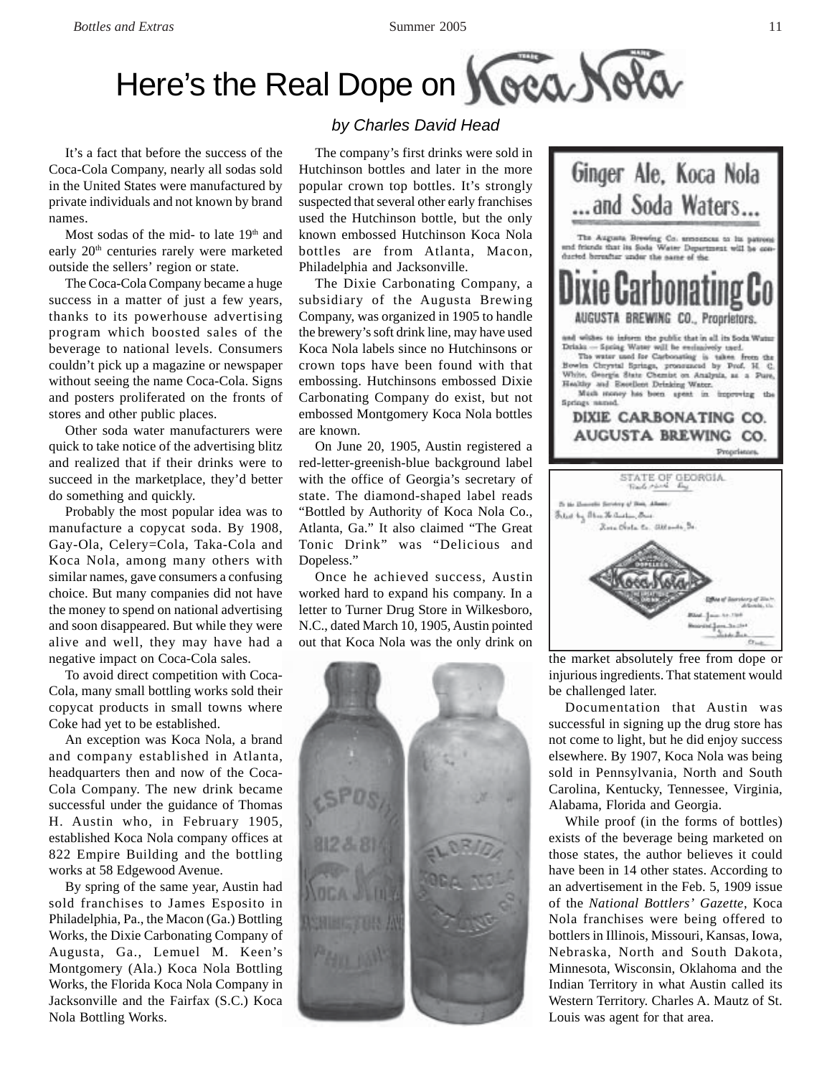## Here's the Real Dope on Koea Nola

It's a fact that before the success of the Coca-Cola Company, nearly all sodas sold in the United States were manufactured by private individuals and not known by brand names.

Most sodas of the mid- to late 19<sup>th</sup> and early 20<sup>th</sup> centuries rarely were marketed outside the sellers' region or state.

The Coca-Cola Company became a huge success in a matter of just a few years, thanks to its powerhouse advertising program which boosted sales of the beverage to national levels. Consumers couldn't pick up a magazine or newspaper without seeing the name Coca-Cola. Signs and posters proliferated on the fronts of stores and other public places.

Other soda water manufacturers were quick to take notice of the advertising blitz and realized that if their drinks were to succeed in the marketplace, they'd better do something and quickly.

Probably the most popular idea was to manufacture a copycat soda. By 1908, Gay-Ola, Celery=Cola, Taka-Cola and Koca Nola, among many others with similar names, gave consumers a confusing choice. But many companies did not have the money to spend on national advertising and soon disappeared. But while they were alive and well, they may have had a negative impact on Coca-Cola sales.

To avoid direct competition with Coca-Cola, many small bottling works sold their copycat products in small towns where Coke had yet to be established.

An exception was Koca Nola, a brand and company established in Atlanta, headquarters then and now of the Coca-Cola Company. The new drink became successful under the guidance of Thomas H. Austin who, in February 1905, established Koca Nola company offices at 822 Empire Building and the bottling works at 58 Edgewood Avenue.

By spring of the same year, Austin had sold franchises to James Esposito in Philadelphia, Pa., the Macon (Ga.) Bottling Works, the Dixie Carbonating Company of Augusta, Ga., Lemuel M. Keen's Montgomery (Ala.) Koca Nola Bottling Works, the Florida Koca Nola Company in Jacksonville and the Fairfax (S.C.) Koca Nola Bottling Works.

## *by Charles David Head*

The company's first drinks were sold in Hutchinson bottles and later in the more popular crown top bottles. It's strongly suspected that several other early franchises used the Hutchinson bottle, but the only known embossed Hutchinson Koca Nola bottles are from Atlanta, Macon, Philadelphia and Jacksonville.

The Dixie Carbonating Company, a subsidiary of the Augusta Brewing Company, was organized in 1905 to handle the brewery's soft drink line, may have used Koca Nola labels since no Hutchinsons or crown tops have been found with that embossing. Hutchinsons embossed Dixie Carbonating Company do exist, but not embossed Montgomery Koca Nola bottles are known.

On June 20, 1905, Austin registered a red-letter-greenish-blue background label with the office of Georgia's secretary of state. The diamond-shaped label reads "Bottled by Authority of Koca Nola Co., Atlanta, Ga." It also claimed "The Great Tonic Drink" was "Delicious and Dopeless."

Once he achieved success, Austin worked hard to expand his company. In a letter to Turner Drug Store in Wilkesboro, N.C., dated March 10, 1905, Austin pointed out that Koca Nola was the only drink on





the market absolutely free from dope or injurious ingredients. That statement would be challenged later.

Documentation that Austin was successful in signing up the drug store has not come to light, but he did enjoy success elsewhere. By 1907, Koca Nola was being sold in Pennsylvania, North and South Carolina, Kentucky, Tennessee, Virginia, Alabama, Florida and Georgia.

While proof (in the forms of bottles) exists of the beverage being marketed on those states, the author believes it could have been in 14 other states. According to an advertisement in the Feb. 5, 1909 issue of the *National Bottlers' Gazette*, Koca Nola franchises were being offered to bottlers in Illinois, Missouri, Kansas, Iowa, Nebraska, North and South Dakota, Minnesota, Wisconsin, Oklahoma and the Indian Territory in what Austin called its Western Territory. Charles A. Mautz of St. Louis was agent for that area.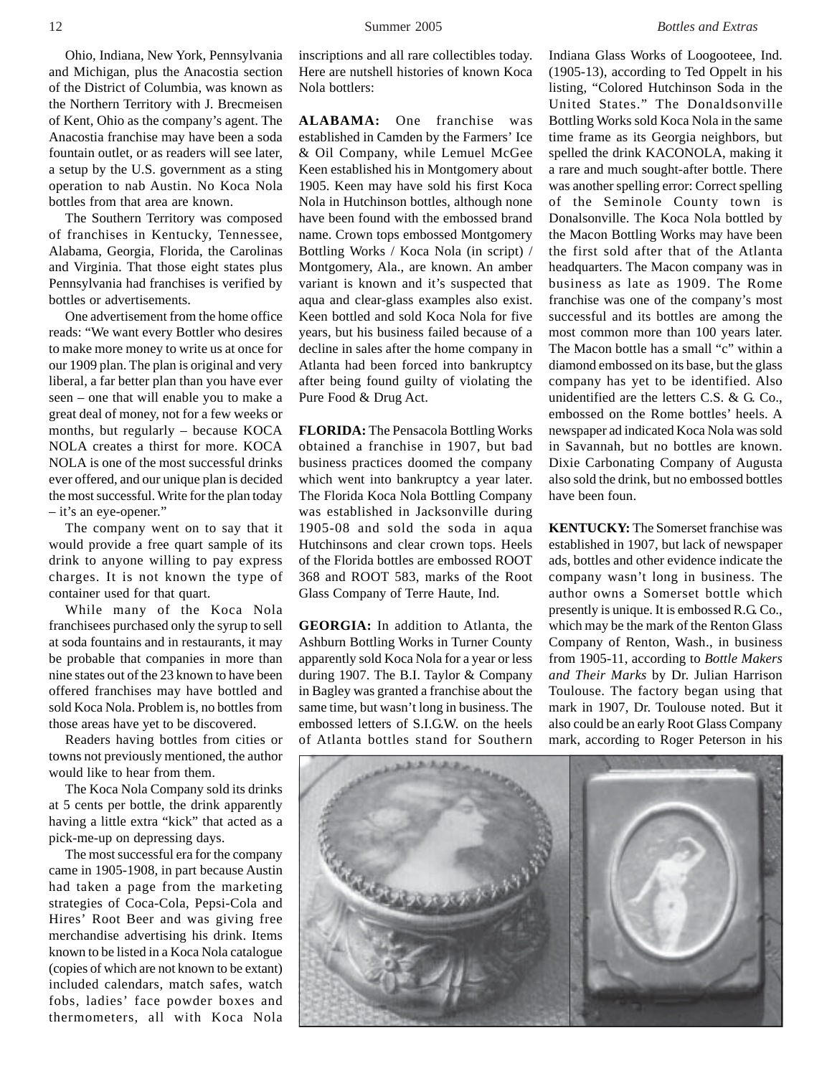Ohio, Indiana, New York, Pennsylvania and Michigan, plus the Anacostia section of the District of Columbia, was known as the Northern Territory with J. Brecmeisen of Kent, Ohio as the company's agent. The Anacostia franchise may have been a soda fountain outlet, or as readers will see later, a setup by the U.S. government as a sting operation to nab Austin. No Koca Nola bottles from that area are known.

The Southern Territory was composed of franchises in Kentucky, Tennessee, Alabama, Georgia, Florida, the Carolinas and Virginia. That those eight states plus Pennsylvania had franchises is verified by bottles or advertisements.

One advertisement from the home office reads: "We want every Bottler who desires to make more money to write us at once for our 1909 plan. The plan is original and very liberal, a far better plan than you have ever seen – one that will enable you to make a great deal of money, not for a few weeks or months, but regularly – because KOCA NOLA creates a thirst for more. KOCA NOLA is one of the most successful drinks ever offered, and our unique plan is decided the most successful. Write for the plan today – it's an eye-opener."

The company went on to say that it would provide a free quart sample of its drink to anyone willing to pay express charges. It is not known the type of container used for that quart.

While many of the Koca Nola franchisees purchased only the syrup to sell at soda fountains and in restaurants, it may be probable that companies in more than nine states out of the 23 known to have been offered franchises may have bottled and sold Koca Nola. Problem is, no bottles from those areas have yet to be discovered.

Readers having bottles from cities or towns not previously mentioned, the author would like to hear from them.

The Koca Nola Company sold its drinks at 5 cents per bottle, the drink apparently having a little extra "kick" that acted as a pick-me-up on depressing days.

The most successful era for the company came in 1905-1908, in part because Austin had taken a page from the marketing strategies of Coca-Cola, Pepsi-Cola and Hires' Root Beer and was giving free merchandise advertising his drink. Items known to be listed in a Koca Nola catalogue (copies of which are not known to be extant) included calendars, match safes, watch fobs, ladies' face powder boxes and thermometers, all with Koca Nola

inscriptions and all rare collectibles today. Here are nutshell histories of known Koca Nola bottlers:

**ALABAMA:** One franchise was established in Camden by the Farmers' Ice & Oil Company, while Lemuel McGee Keen established his in Montgomery about 1905. Keen may have sold his first Koca Nola in Hutchinson bottles, although none have been found with the embossed brand name. Crown tops embossed Montgomery Bottling Works / Koca Nola (in script) / Montgomery, Ala., are known. An amber variant is known and it's suspected that aqua and clear-glass examples also exist. Keen bottled and sold Koca Nola for five years, but his business failed because of a decline in sales after the home company in Atlanta had been forced into bankruptcy after being found guilty of violating the Pure Food & Drug Act.

**FLORIDA:** The Pensacola Bottling Works obtained a franchise in 1907, but bad business practices doomed the company which went into bankruptcy a year later. The Florida Koca Nola Bottling Company was established in Jacksonville during 1905-08 and sold the soda in aqua Hutchinsons and clear crown tops. Heels of the Florida bottles are embossed ROOT 368 and ROOT 583, marks of the Root Glass Company of Terre Haute, Ind.

**GEORGIA:** In addition to Atlanta, the Ashburn Bottling Works in Turner County apparently sold Koca Nola for a year or less during 1907. The B.I. Taylor & Company in Bagley was granted a franchise about the same time, but wasn't long in business. The embossed letters of S.I.G.W. on the heels of Atlanta bottles stand for Southern

Indiana Glass Works of Loogooteee, Ind. (1905-13), according to Ted Oppelt in his listing, "Colored Hutchinson Soda in the United States." The Donaldsonville Bottling Works sold Koca Nola in the same time frame as its Georgia neighbors, but spelled the drink KACONOLA, making it a rare and much sought-after bottle. There was another spelling error: Correct spelling of the Seminole County town is Donalsonville. The Koca Nola bottled by the Macon Bottling Works may have been the first sold after that of the Atlanta headquarters. The Macon company was in business as late as 1909. The Rome franchise was one of the company's most successful and its bottles are among the most common more than 100 years later. The Macon bottle has a small "c" within a diamond embossed on its base, but the glass company has yet to be identified. Also unidentified are the letters C.S. & G. Co., embossed on the Rome bottles' heels. A newspaper ad indicated Koca Nola was sold in Savannah, but no bottles are known. Dixie Carbonating Company of Augusta also sold the drink, but no embossed bottles have been foun.

**KENTUCKY:** The Somerset franchise was established in 1907, but lack of newspaper ads, bottles and other evidence indicate the company wasn't long in business. The author owns a Somerset bottle which presently is unique. It is embossed R.G. Co., which may be the mark of the Renton Glass Company of Renton, Wash., in business from 1905-11, according to *Bottle Makers and Their Marks* by Dr. Julian Harrison Toulouse. The factory began using that mark in 1907, Dr. Toulouse noted. But it also could be an early Root Glass Company mark, according to Roger Peterson in his